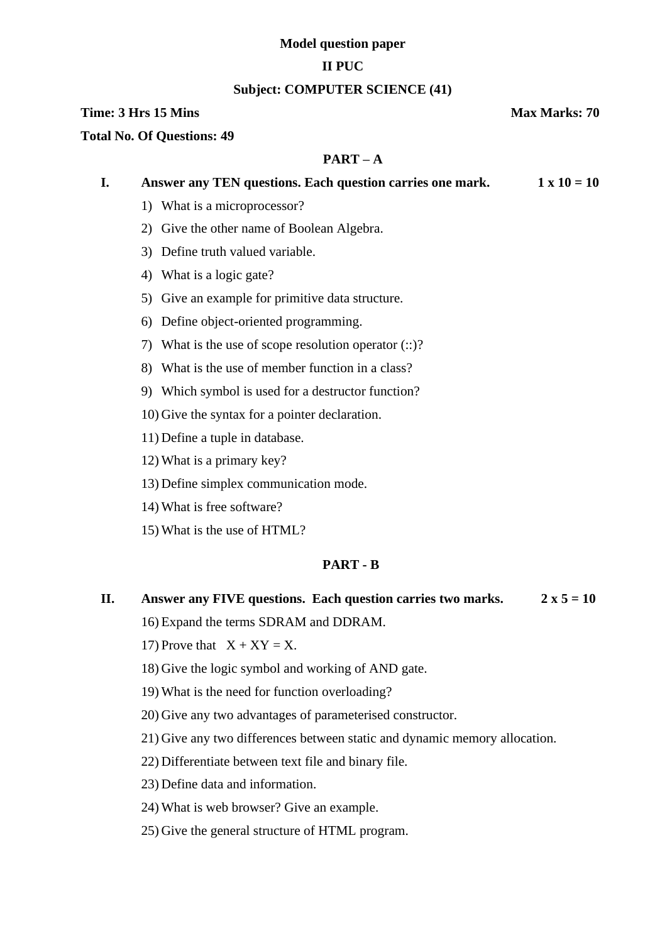## **Model question paper**

## **II PUC**

## **Subject: COMPUTER SCIENCE (41)**

## **Time: 3 Hrs** 15 Mins **Max Marks: 70**

#### **Total No. Of Questions: 49**

## **PART – A**

| I. | Answer any TEN questions. Each question carries one mark.   | $1 \times 10 = 10$ |
|----|-------------------------------------------------------------|--------------------|
|    | 1) What is a microprocessor?                                |                    |
|    | 2) Give the other name of Boolean Algebra.                  |                    |
|    | 3) Define truth valued variable.                            |                    |
|    | 4) What is a logic gate?                                    |                    |
|    | 5) Give an example for primitive data structure.            |                    |
|    | 6) Define object-oriented programming.                      |                    |
|    | What is the use of scope resolution operator $(::)$ ?<br>7) |                    |
|    | 8) What is the use of member function in a class?           |                    |
|    | 9) Which symbol is used for a destructor function?          |                    |
|    | 10) Give the syntax for a pointer declaration.              |                    |
|    | 11) Define a tuple in database.                             |                    |
|    | 12) What is a primary key?                                  |                    |
|    |                                                             |                    |

- 13) Define simplex communication mode.
- 14) What is free software?
- 15) What is the use of HTML?

## **PART - B**

- **II. Answer any FIVE questions. Each question carries two marks.**  $2 \times 5 = 10$ 16) Expand the terms SDRAM and DDRAM.
	- 17) Prove that  $X + XY = X$ .
	- 18) Give the logic symbol and working of AND gate.
	- 19) What is the need for function overloading?
	- 20) Give any two advantages of parameterised constructor.
	- 21) Give any two differences between static and dynamic memory allocation.
	- 22) Differentiate between text file and binary file.
	- 23) Define data and information.
	- 24) What is web browser? Give an example.
	- 25) Give the general structure of HTML program.